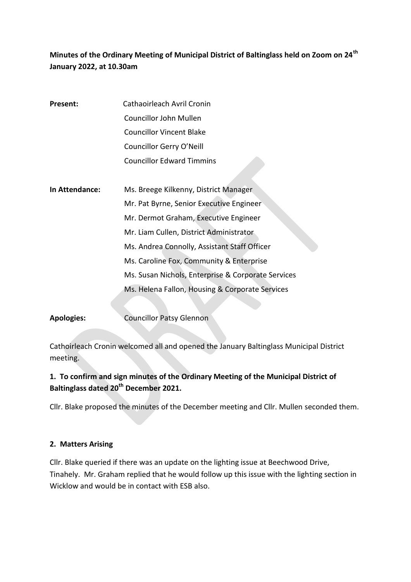# **Minutes of the Ordinary Meeting of Municipal District of Baltinglass held on Zoom on 24th January 2022, at 10.30am**

| Present:       | Cathaoirleach Avril Cronin                         |
|----------------|----------------------------------------------------|
|                | Councillor John Mullen                             |
|                | <b>Councillor Vincent Blake</b>                    |
|                | Councillor Gerry O'Neill                           |
|                | <b>Councillor Edward Timmins</b>                   |
|                |                                                    |
| In Attendance: | Ms. Breege Kilkenny, District Manager              |
|                | Mr. Pat Byrne, Senior Executive Engineer           |
|                | Mr. Dermot Graham, Executive Engineer              |
|                | Mr. Liam Cullen, District Administrator            |
|                | Ms. Andrea Connolly, Assistant Staff Officer       |
|                | Ms. Caroline Fox, Community & Enterprise           |
|                | Ms. Susan Nichols, Enterprise & Corporate Services |
|                | Ms. Helena Fallon, Housing & Corporate Services    |
|                |                                                    |

Apologies: **Councillor Patsy Glennon** 

Cathoirleach Cronin welcomed all and opened the January Baltinglass Municipal District meeting.

## **1. To confirm and sign minutes of the Ordinary Meeting of the Municipal District of Baltinglass dated 20th December 2021.**

Cllr. Blake proposed the minutes of the December meeting and Cllr. Mullen seconded them.

## **2. Matters Arising**

Cllr. Blake queried if there was an update on the lighting issue at Beechwood Drive, Tinahely. Mr. Graham replied that he would follow up this issue with the lighting section in Wicklow and would be in contact with ESB also.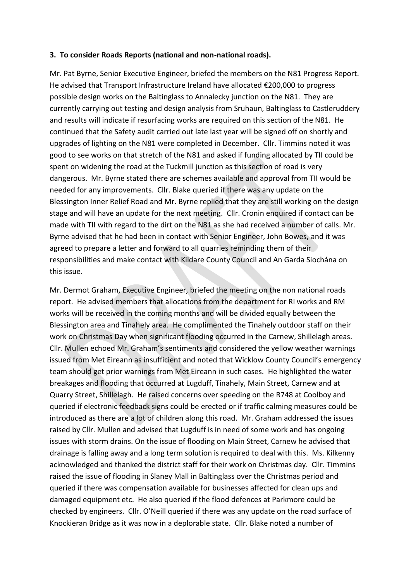### **3. To consider Roads Reports (national and non-national roads).**

Mr. Pat Byrne, Senior Executive Engineer, briefed the members on the N81 Progress Report. He advised that Transport Infrastructure Ireland have allocated €200,000 to progress possible design works on the Baltinglass to Annalecky junction on the N81. They are currently carrying out testing and design analysis from Sruhaun, Baltinglass to Castleruddery and results will indicate if resurfacing works are required on this section of the N81. He continued that the Safety audit carried out late last year will be signed off on shortly and upgrades of lighting on the N81 were completed in December. Cllr. Timmins noted it was good to see works on that stretch of the N81 and asked if funding allocated by TII could be spent on widening the road at the Tuckmill junction as this section of road is very dangerous. Mr. Byrne stated there are schemes available and approval from TII would be needed for any improvements. Cllr. Blake queried if there was any update on the Blessington Inner Relief Road and Mr. Byrne replied that they are still working on the design stage and will have an update for the next meeting. Cllr. Cronin enquired if contact can be made with TII with regard to the dirt on the N81 as she had received a number of calls. Mr. Byrne advised that he had been in contact with Senior Engineer, John Bowes, and it was agreed to prepare a letter and forward to all quarries reminding them of their responsibilities and make contact with Kildare County Council and An Garda Siochána on this issue.

Mr. Dermot Graham, Executive Engineer, briefed the meeting on the non national roads report. He advised members that allocations from the department for RI works and RM works will be received in the coming months and will be divided equally between the Blessington area and Tinahely area. He complimented the Tinahely outdoor staff on their work on Christmas Day when significant flooding occurred in the Carnew, Shillelagh areas. Cllr. Mullen echoed Mr. Graham's sentiments and considered the yellow weather warnings issued from Met Eireann as insufficient and noted that Wicklow County Council's emergency team should get prior warnings from Met Eireann in such cases. He highlighted the water breakages and flooding that occurred at Lugduff, Tinahely, Main Street, Carnew and at Quarry Street, Shillelagh. He raised concerns over speeding on the R748 at Coolboy and queried if electronic feedback signs could be erected or if traffic calming measures could be introduced as there are a lot of children along this road. Mr. Graham addressed the issues raised by Cllr. Mullen and advised that Lugduff is in need of some work and has ongoing issues with storm drains. On the issue of flooding on Main Street, Carnew he advised that drainage is falling away and a long term solution is required to deal with this. Ms. Kilkenny acknowledged and thanked the district staff for their work on Christmas day. Cllr. Timmins raised the issue of flooding in Slaney Mall in Baltinglass over the Christmas period and queried if there was compensation available for businesses affected for clean ups and damaged equipment etc. He also queried if the flood defences at Parkmore could be checked by engineers. Cllr. O'Neill queried if there was any update on the road surface of Knockieran Bridge as it was now in a deplorable state. Cllr. Blake noted a number of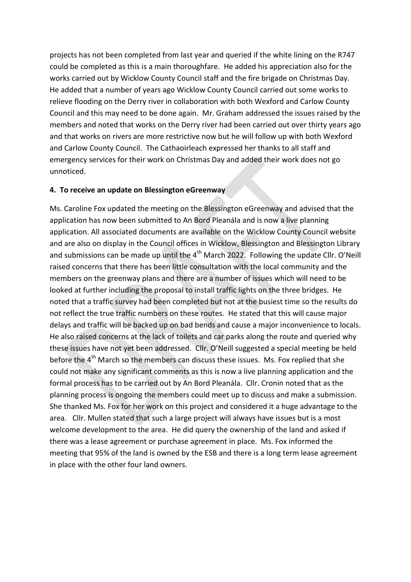projects has not been completed from last year and queried if the white lining on the R747 could be completed as this is a main thoroughfare. He added his appreciation also for the works carried out by Wicklow County Council staff and the fire brigade on Christmas Day. He added that a number of years ago Wicklow County Council carried out some works to relieve flooding on the Derry river in collaboration with both Wexford and Carlow County Council and this may need to be done again. Mr. Graham addressed the issues raised by the members and noted that works on the Derry river had been carried out over thirty years ago and that works on rivers are more restrictive now but he will follow up with both Wexford and Carlow County Council. The Cathaoirleach expressed her thanks to all staff and emergency services for their work on Christmas Day and added their work does not go unnoticed.

#### **4. To receive an update on Blessington eGreenway**

Ms. Caroline Fox updated the meeting on the Blessington eGreenway and advised that the application has now been submitted to An Bord Pleanála and is now a live planning application. All associated documents are available on the Wicklow County Council website and are also on display in the Council offices in Wicklow, Blessington and Blessington Library and submissions can be made up until the  $4<sup>th</sup>$  March 2022. Following the update Cllr. O'Neill raised concerns that there has been little consultation with the local community and the members on the greenway plans and there are a number of issues which will need to be looked at further including the proposal to install traffic lights on the three bridges. He noted that a traffic survey had been completed but not at the busiest time so the results do not reflect the true traffic numbers on these routes. He stated that this will cause major delays and traffic will be backed up on bad bends and cause a major inconvenience to locals. He also raised concerns at the lack of toilets and car parks along the route and queried why these issues have not yet been addressed. Cllr. O'Neill suggested a special meeting be held before the 4<sup>th</sup> March so the members can discuss these issues. Ms. Fox replied that she could not make any significant comments as this is now a live planning application and the formal process has to be carried out by An Bord Pleanála. Cllr. Cronin noted that as the planning process is ongoing the members could meet up to discuss and make a submission. She thanked Ms. Fox for her work on this project and considered it a huge advantage to the area. Cllr. Mullen stated that such a large project will always have issues but is a most welcome development to the area. He did query the ownership of the land and asked if there was a lease agreement or purchase agreement in place. Ms. Fox informed the meeting that 95% of the land is owned by the ESB and there is a long term lease agreement in place with the other four land owners.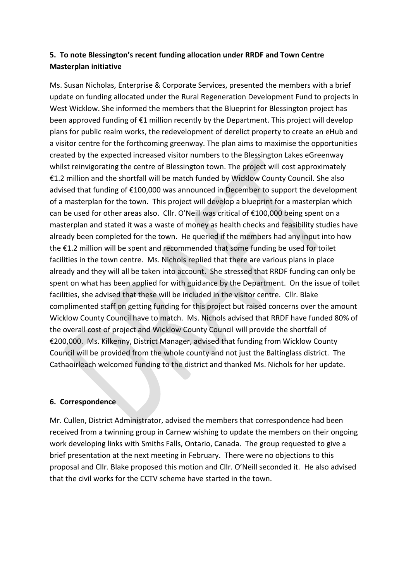# **5. To note Blessington's recent funding allocation under RRDF and Town Centre Masterplan initiative**

Ms. Susan Nicholas, Enterprise & Corporate Services, presented the members with a brief update on funding allocated under the Rural Regeneration Development Fund to projects in West Wicklow. She informed the members that the Blueprint for Blessington project has been approved funding of €1 million recently by the Department. This project will develop plans for public realm works, the redevelopment of derelict property to create an eHub and a visitor centre for the forthcoming greenway. The plan aims to maximise the opportunities created by the expected increased visitor numbers to the Blessington Lakes eGreenway whilst reinvigorating the centre of Blessington town. The project will cost approximately €1.2 million and the shortfall will be match funded by Wicklow County Council. She also advised that funding of €100,000 was announced in December to support the development of a masterplan for the town. This project will develop a blueprint for a masterplan which can be used for other areas also. Cllr. O'Neill was critical of €100,000 being spent on a masterplan and stated it was a waste of money as health checks and feasibility studies have already been completed for the town. He queried if the members had any input into how the €1.2 million will be spent and recommended that some funding be used for toilet facilities in the town centre. Ms. Nichols replied that there are various plans in place already and they will all be taken into account. She stressed that RRDF funding can only be spent on what has been applied for with guidance by the Department. On the issue of toilet facilities, she advised that these will be included in the visitor centre. Cllr. Blake complimented staff on getting funding for this project but raised concerns over the amount Wicklow County Council have to match. Ms. Nichols advised that RRDF have funded 80% of the overall cost of project and Wicklow County Council will provide the shortfall of €200,000. Ms. Kilkenny, District Manager, advised that funding from Wicklow County Council will be provided from the whole county and not just the Baltinglass district. The Cathaoirleach welcomed funding to the district and thanked Ms. Nichols for her update.

## **6. Correspondence**

Mr. Cullen, District Administrator, advised the members that correspondence had been received from a twinning group in Carnew wishing to update the members on their ongoing work developing links with Smiths Falls, Ontario, Canada. The group requested to give a brief presentation at the next meeting in February. There were no objections to this proposal and Cllr. Blake proposed this motion and Cllr. O'Neill seconded it. He also advised that the civil works for the CCTV scheme have started in the town.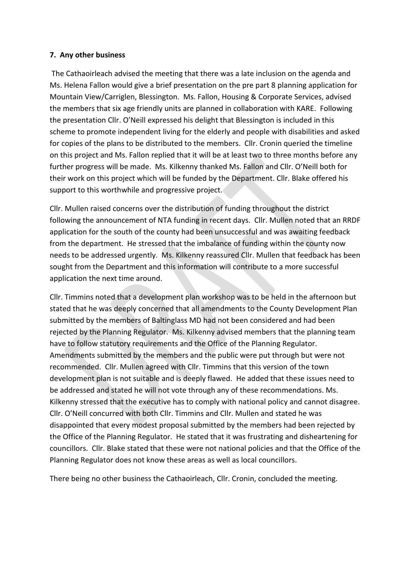### **7. Any other business**

The Cathaoirleach advised the meeting that there was a late inclusion on the agenda and Ms. Helena Fallon would give a brief presentation on the pre part 8 planning application for Mountain View/Carriglen, Blessington. Ms. Fallon, Housing & Corporate Services, advised the members that six age friendly units are planned in collaboration with KARE. Following the presentation Cllr. O'Neill expressed his delight that Blessington is included in this scheme to promote independent living for the elderly and people with disabilities and asked for copies of the plans to be distributed to the members. Cllr. Cronin queried the timeline on this project and Ms. Fallon replied that it will be at least two to three months before any further progress will be made. Ms. Kilkenny thanked Ms. Fallon and Cllr. O'Neill both for their work on this project which will be funded by the Department. Cllr. Blake offered his support to this worthwhile and progressive project.

Cllr. Mullen raised concerns over the distribution of funding throughout the district following the announcement of NTA funding in recent days. Cllr. Mullen noted that an RRDF application for the south of the county had been unsuccessful and was awaiting feedback from the department. He stressed that the imbalance of funding within the county now needs to be addressed urgently. Ms. Kilkenny reassured Cllr. Mullen that feedback has been sought from the Department and this information will contribute to a more successful application the next time around.

Cllr. Timmins noted that a development plan workshop was to be held in the afternoon but stated that he was deeply concerned that all amendments to the County Development Plan submitted by the members of Baltinglass MD had not been considered and had been rejected by the Planning Regulator. Ms. Kilkenny advised members that the planning team have to follow statutory requirements and the Office of the Planning Regulator. Amendments submitted by the members and the public were put through but were not recommended. Cllr. Mullen agreed with Cllr. Timmins that this version of the town development plan is not suitable and is deeply flawed. He added that these issues need to be addressed and stated he will not vote through any of these recommendations. Ms. Kilkenny stressed that the executive has to comply with national policy and cannot disagree. Cllr. O'Neill concurred with both Cllr. Timmins and Cllr. Mullen and stated he was disappointed that every modest proposal submitted by the members had been rejected by the Office of the Planning Regulator. He stated that it was frustrating and disheartening for councillors. Cllr. Blake stated that these were not national policies and that the Office of the Planning Regulator does not know these areas as well as local councillors.

There being no other business the Cathaoirleach, Cllr. Cronin, concluded the meeting.